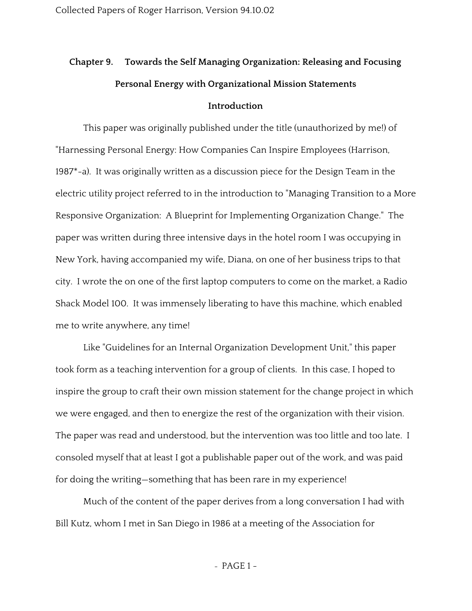# **Chapter 9. Towards the Self Managing Organization: Releasing and Focusing Personal Energy with Organizational Mission Statements**

## **Introduction**

This paper was originally published under the title (unauthorized by me!) of "Harnessing Personal Energy: How Companies Can Inspire Employees (Harrison, 1987\*-a). It was originally written as a discussion piece for the Design Team in the electric utility project referred to in the introduction to "Managing Transition to a More Responsive Organization: A Blueprint for Implementing Organization Change." The paper was written during three intensive days in the hotel room I was occupying in New York, having accompanied my wife, Diana, on one of her business trips to that city. I wrote the on one of the first laptop computers to come on the market, a Radio Shack Model 100. It was immensely liberating to have this machine, which enabled me to write anywhere, any time!

Like "Guidelines for an Internal Organization Development Unit," this paper took form as a teaching intervention for a group of clients. In this case, I hoped to inspire the group to craft their own mission statement for the change project in which we were engaged, and then to energize the rest of the organization with their vision. The paper was read and understood, but the intervention was too little and too late. I consoled myself that at least I got a publishable paper out of the work, and was paid for doing the writing—something that has been rare in my experience!

Much of the content of the paper derives from a long conversation I had with Bill Kutz, whom I met in San Diego in 1986 at a meeting of the Association for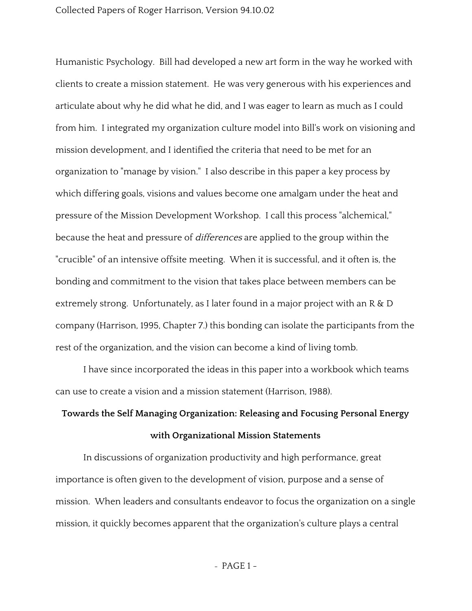#### Collected Papers of Roger Harrison, Version 94.10.02

Humanistic Psychology. Bill had developed a new art form in the way he worked with clients to create a mission statement. He was very generous with his experiences and articulate about why he did what he did, and I was eager to learn as much as I could from him. I integrated my organization culture model into Bill's work on visioning and mission development, and I identified the criteria that need to be met for an organization to "manage by vision." I also describe in this paper a key process by which differing goals, visions and values become one amalgam under the heat and pressure of the Mission Development Workshop. I call this process "alchemical," because the heat and pressure of differences are applied to the group within the "crucible" of an intensive offsite meeting. When it is successful, and it often is, the bonding and commitment to the vision that takes place between members can be extremely strong. Unfortunately, as I later found in a major project with an R & D company (Harrison, 1995, Chapter 7.) this bonding can isolate the participants from the rest of the organization, and the vision can become a kind of living tomb.

I have since incorporated the ideas in this paper into a workbook which teams can use to create a vision and a mission statement (Harrison, 1988).

## **Towards the Self Managing Organization: Releasing and Focusing Personal Energy with Organizational Mission Statements**

In discussions of organization productivity and high performance, great importance is often given to the development of vision, purpose and a sense of mission. When leaders and consultants endeavor to focus the organization on a single mission, it quickly becomes apparent that the organization's culture plays a central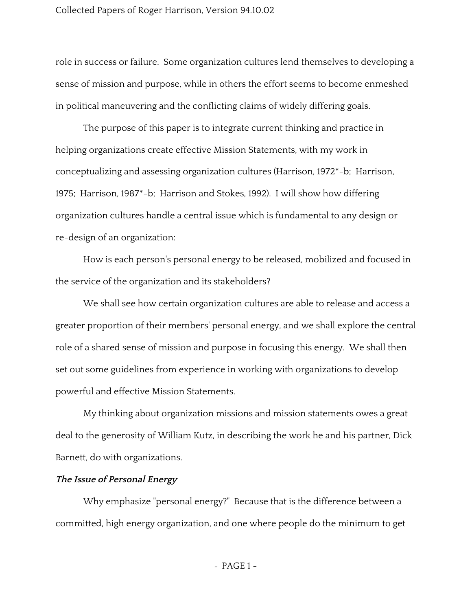role in success or failure. Some organization cultures lend themselves to developing a sense of mission and purpose, while in others the effort seems to become enmeshed in political maneuvering and the conflicting claims of widely differing goals.

The purpose of this paper is to integrate current thinking and practice in helping organizations create effective Mission Statements, with my work in conceptualizing and assessing organization cultures (Harrison, 1972\*-b; Harrison, 1975; Harrison, 1987\*-b; Harrison and Stokes, 1992). I will show how differing organization cultures handle a central issue which is fundamental to any design or re-design of an organization:

How is each person's personal energy to be released, mobilized and focused in the service of the organization and its stakeholders?

We shall see how certain organization cultures are able to release and access a greater proportion of their members' personal energy, and we shall explore the central role of a shared sense of mission and purpose in focusing this energy. We shall then set out some guidelines from experience in working with organizations to develop powerful and effective Mission Statements.

My thinking about organization missions and mission statements owes a great deal to the generosity of William Kutz, in describing the work he and his partner, Dick Barnett, do with organizations.

#### **The Issue of Personal Energy**

Why emphasize "personal energy?" Because that is the difference between a committed, high energy organization, and one where people do the minimum to get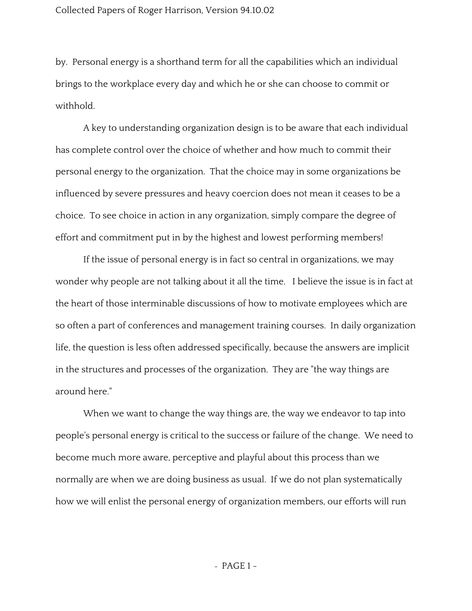by. Personal energy is a shorthand term for all the capabilities which an individual brings to the workplace every day and which he or she can choose to commit or withhold.

A key to understanding organization design is to be aware that each individual has complete control over the choice of whether and how much to commit their personal energy to the organization. That the choice may in some organizations be influenced by severe pressures and heavy coercion does not mean it ceases to be a choice. To see choice in action in any organization, simply compare the degree of effort and commitment put in by the highest and lowest performing members!

If the issue of personal energy is in fact so central in organizations, we may wonder why people are not talking about it all the time. I believe the issue is in fact at the heart of those interminable discussions of how to motivate employees which are so often a part of conferences and management training courses. In daily organization life, the question is less often addressed specifically, because the answers are implicit in the structures and processes of the organization. They are "the way things are around here."

When we want to change the way things are, the way we endeavor to tap into people's personal energy is critical to the success or failure of the change. We need to become much more aware, perceptive and playful about this process than we normally are when we are doing business as usual. If we do not plan systematically how we will enlist the personal energy of organization members, our efforts will run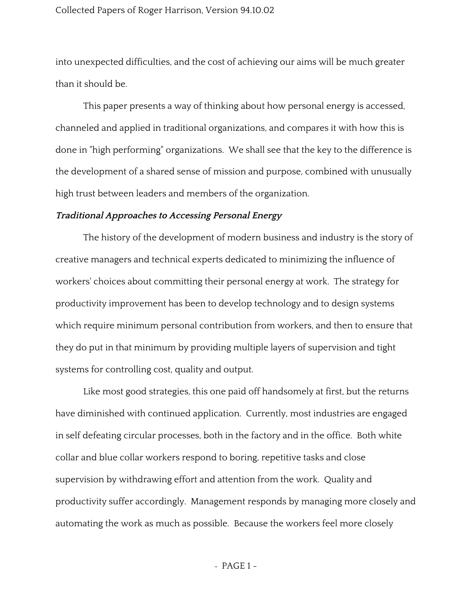#### Collected Papers of Roger Harrison, Version 94.10.02

into unexpected difficulties, and the cost of achieving our aims will be much greater than it should be.

This paper presents a way of thinking about how personal energy is accessed, channeled and applied in traditional organizations, and compares it with how this is done in "high performing" organizations. We shall see that the key to the difference is the development of a shared sense of mission and purpose, combined with unusually high trust between leaders and members of the organization.

#### **Traditional Approaches to Accessing Personal Energy**

The history of the development of modern business and industry is the story of creative managers and technical experts dedicated to minimizing the influence of workers' choices about committing their personal energy at work. The strategy for productivity improvement has been to develop technology and to design systems which require minimum personal contribution from workers, and then to ensure that they do put in that minimum by providing multiple layers of supervision and tight systems for controlling cost, quality and output.

Like most good strategies, this one paid off handsomely at first, but the returns have diminished with continued application. Currently, most industries are engaged in self defeating circular processes, both in the factory and in the office. Both white collar and blue collar workers respond to boring, repetitive tasks and close supervision by withdrawing effort and attention from the work. Quality and productivity suffer accordingly. Management responds by managing more closely and automating the work as much as possible. Because the workers feel more closely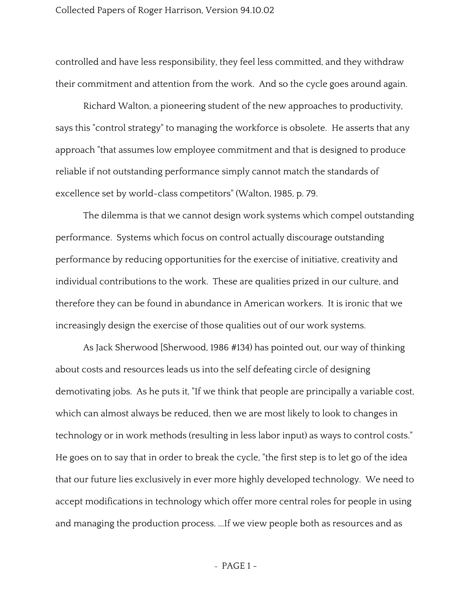controlled and have less responsibility, they feel less committed, and they withdraw their commitment and attention from the work. And so the cycle goes around again.

Richard Walton, a pioneering student of the new approaches to productivity, says this "control strategy" to managing the workforce is obsolete. He asserts that any approach "that assumes low employee commitment and that is designed to produce reliable if not outstanding performance simply cannot match the standards of excellence set by world-class competitors" (Walton, 1985, p. 79.

The dilemma is that we cannot design work systems which compel outstanding performance. Systems which focus on control actually discourage outstanding performance by reducing opportunities for the exercise of initiative, creativity and individual contributions to the work. These are qualities prized in our culture, and therefore they can be found in abundance in American workers. It is ironic that we increasingly design the exercise of those qualities out of our work systems.

As Jack Sherwood [Sherwood, 1986 #134) has pointed out, our way of thinking about costs and resources leads us into the self defeating circle of designing demotivating jobs. As he puts it, "If we think that people are principally a variable cost, which can almost always be reduced, then we are most likely to look to changes in technology or in work methods (resulting in less labor input) as ways to control costs." He goes on to say that in order to break the cycle, "the first step is to let go of the idea that our future lies exclusively in ever more highly developed technology. We need to accept modifications in technology which offer more central roles for people in using and managing the production process. ...If we view people both as resources and as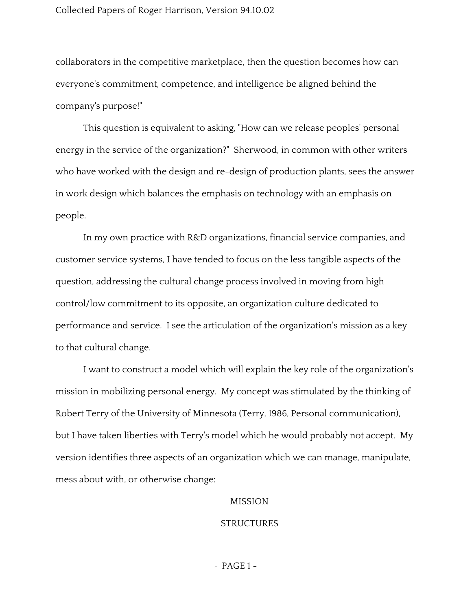#### Collected Papers of Roger Harrison, Version 94.10.02

collaborators in the competitive marketplace, then the question becomes how can everyone's commitment, competence, and intelligence be aligned behind the company's purpose!"

This question is equivalent to asking, "How can we release peoples' personal energy in the service of the organization?" Sherwood, in common with other writers who have worked with the design and re-design of production plants, sees the answer in work design which balances the emphasis on technology with an emphasis on people.

In my own practice with R&D organizations, financial service companies, and customer service systems, I have tended to focus on the less tangible aspects of the question, addressing the cultural change process involved in moving from high control/low commitment to its opposite, an organization culture dedicated to performance and service. I see the articulation of the organization's mission as a key to that cultural change.

I want to construct a model which will explain the key role of the organization's mission in mobilizing personal energy. My concept was stimulated by the thinking of Robert Terry of the University of Minnesota (Terry, 1986, Personal communication), but I have taken liberties with Terry's model which he would probably not accept. My version identifies three aspects of an organization which we can manage, manipulate, mess about with, or otherwise change:

#### MISSION

#### STRUCTURES

#### - PAGE 1 -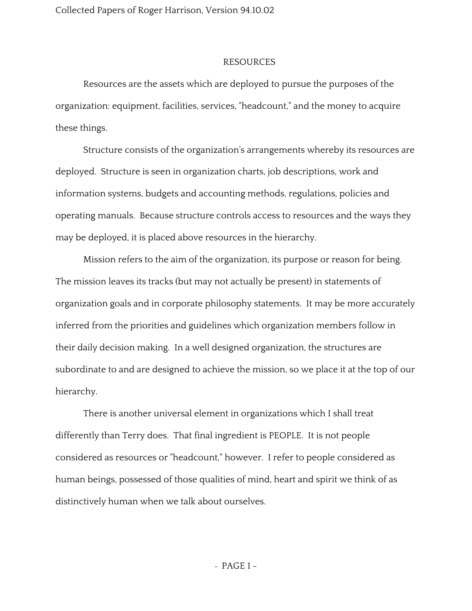#### RESOURCES

Resources are the assets which are deployed to pursue the purposes of the organization: equipment, facilities, services, "headcount," and the money to acquire these things.

Structure consists of the organization's arrangements whereby its resources are deployed. Structure is seen in organization charts, job descriptions, work and information systems, budgets and accounting methods, regulations, policies and operating manuals. Because structure controls access to resources and the ways they may be deployed, it is placed above resources in the hierarchy.

Mission refers to the aim of the organization, its purpose or reason for being. The mission leaves its tracks (but may not actually be present) in statements of organization goals and in corporate philosophy statements. It may be more accurately inferred from the priorities and guidelines which organization members follow in their daily decision making. In a well designed organization, the structures are subordinate to and are designed to achieve the mission, so we place it at the top of our hierarchy.

There is another universal element in organizations which I shall treat differently than Terry does. That final ingredient is PEOPLE. It is not people considered as resources or "headcount," however. I refer to people considered as human beings, possessed of those qualities of mind, heart and spirit we think of as distinctively human when we talk about ourselves.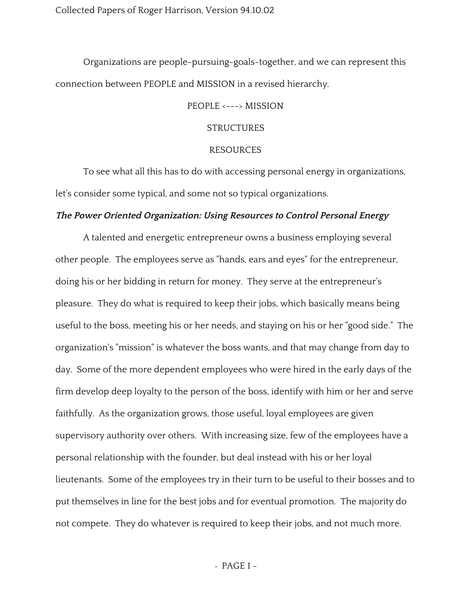Organizations are people-pursuing-goals-together, and we can represent this connection between PEOPLE and MISSION in a revised hierarchy.

## PEOPLE <---> MISSION

## **STRUCTURES**

## RESOURCES

To see what all this has to do with accessing personal energy in organizations, let's consider some typical, and some not so typical organizations.

## **The Power Oriented Organization: Using Resources to Control Personal Energy**

A talented and energetic entrepreneur owns a business employing several other people. The employees serve as "hands, ears and eyes" for the entrepreneur, doing his or her bidding in return for money. They serve at the entrepreneur's pleasure. They do what is required to keep their jobs, which basically means being useful to the boss, meeting his or her needs, and staying on his or her "good side." The organization's "mission" is whatever the boss wants, and that may change from day to day. Some of the more dependent employees who were hired in the early days of the firm develop deep loyalty to the person of the boss, identify with him or her and serve faithfully. As the organization grows, those useful, loyal employees are given supervisory authority over others. With increasing size, few of the employees have a personal relationship with the founder, but deal instead with his or her loyal lieutenants. Some of the employees try in their turn to be useful to their bosses and to put themselves in line for the best jobs and for eventual promotion. The majority do not compete. They do whatever is required to keep their jobs, and not much more.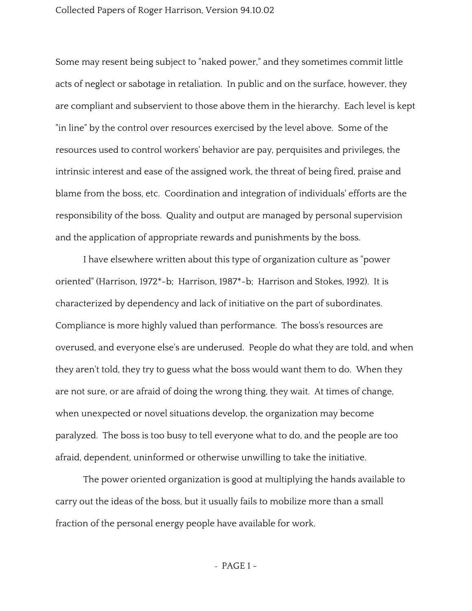Some may resent being subject to "naked power," and they sometimes commit little acts of neglect or sabotage in retaliation. In public and on the surface, however, they are compliant and subservient to those above them in the hierarchy. Each level is kept "in line" by the control over resources exercised by the level above. Some of the resources used to control workers' behavior are pay, perquisites and privileges, the intrinsic interest and ease of the assigned work, the threat of being fired, praise and blame from the boss, etc. Coordination and integration of individuals' efforts are the responsibility of the boss. Quality and output are managed by personal supervision and the application of appropriate rewards and punishments by the boss.

I have elsewhere written about this type of organization culture as "power oriented" (Harrison, 1972\*-b; Harrison, 1987\*-b; Harrison and Stokes, 1992). It is characterized by dependency and lack of initiative on the part of subordinates. Compliance is more highly valued than performance. The boss's resources are overused, and everyone else's are underused. People do what they are told, and when they aren't told, they try to guess what the boss would want them to do. When they are not sure, or are afraid of doing the wrong thing, they wait. At times of change, when unexpected or novel situations develop, the organization may become paralyzed. The boss is too busy to tell everyone what to do, and the people are too afraid, dependent, uninformed or otherwise unwilling to take the initiative.

The power oriented organization is good at multiplying the hands available to carry out the ideas of the boss, but it usually fails to mobilize more than a small fraction of the personal energy people have available for work.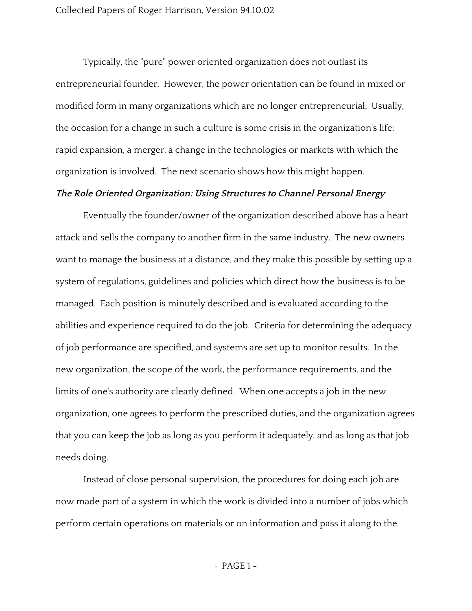Typically, the "pure" power oriented organization does not outlast its entrepreneurial founder. However, the power orientation can be found in mixed or modified form in many organizations which are no longer entrepreneurial. Usually, the occasion for a change in such a culture is some crisis in the organization's life: rapid expansion, a merger, a change in the technologies or markets with which the organization is involved. The next scenario shows how this might happen.

#### **The Role Oriented Organization: Using Structures to Channel Personal Energy**

Eventually the founder/owner of the organization described above has a heart attack and sells the company to another firm in the same industry. The new owners want to manage the business at a distance, and they make this possible by setting up a system of regulations, guidelines and policies which direct how the business is to be managed. Each position is minutely described and is evaluated according to the abilities and experience required to do the job. Criteria for determining the adequacy of job performance are specified, and systems are set up to monitor results. In the new organization, the scope of the work, the performance requirements, and the limits of one's authority are clearly defined. When one accepts a job in the new organization, one agrees to perform the prescribed duties, and the organization agrees that you can keep the job as long as you perform it adequately, and as long as that job needs doing.

Instead of close personal supervision, the procedures for doing each job are now made part of a system in which the work is divided into a number of jobs which perform certain operations on materials or on information and pass it along to the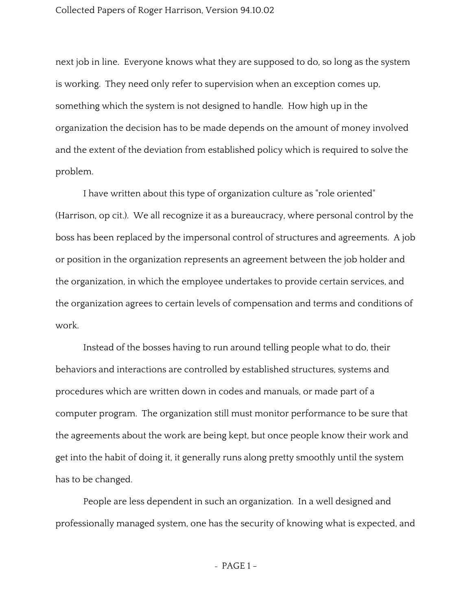next job in line. Everyone knows what they are supposed to do, so long as the system is working. They need only refer to supervision when an exception comes up, something which the system is not designed to handle. How high up in the organization the decision has to be made depends on the amount of money involved and the extent of the deviation from established policy which is required to solve the problem.

I have written about this type of organization culture as "role oriented" (Harrison, op cit.). We all recognize it as a bureaucracy, where personal control by the boss has been replaced by the impersonal control of structures and agreements. A job or position in the organization represents an agreement between the job holder and the organization, in which the employee undertakes to provide certain services, and the organization agrees to certain levels of compensation and terms and conditions of work.

Instead of the bosses having to run around telling people what to do, their behaviors and interactions are controlled by established structures, systems and procedures which are written down in codes and manuals, or made part of a computer program. The organization still must monitor performance to be sure that the agreements about the work are being kept, but once people know their work and get into the habit of doing it, it generally runs along pretty smoothly until the system has to be changed.

People are less dependent in such an organization. In a well designed and professionally managed system, one has the security of knowing what is expected, and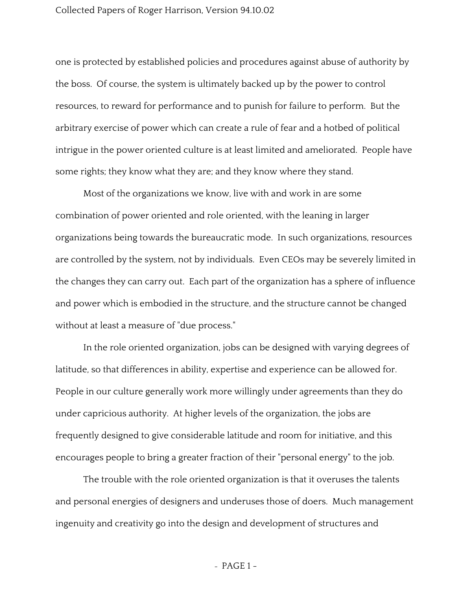one is protected by established policies and procedures against abuse of authority by the boss. Of course, the system is ultimately backed up by the power to control resources, to reward for performance and to punish for failure to perform. But the arbitrary exercise of power which can create a rule of fear and a hotbed of political intrigue in the power oriented culture is at least limited and ameliorated. People have some rights; they know what they are; and they know where they stand.

Most of the organizations we know, live with and work in are some combination of power oriented and role oriented, with the leaning in larger organizations being towards the bureaucratic mode. In such organizations, resources are controlled by the system, not by individuals. Even CEOs may be severely limited in the changes they can carry out. Each part of the organization has a sphere of influence and power which is embodied in the structure, and the structure cannot be changed without at least a measure of "due process."

In the role oriented organization, jobs can be designed with varying degrees of latitude, so that differences in ability, expertise and experience can be allowed for. People in our culture generally work more willingly under agreements than they do under capricious authority. At higher levels of the organization, the jobs are frequently designed to give considerable latitude and room for initiative, and this encourages people to bring a greater fraction of their "personal energy" to the job.

The trouble with the role oriented organization is that it overuses the talents and personal energies of designers and underuses those of doers. Much management ingenuity and creativity go into the design and development of structures and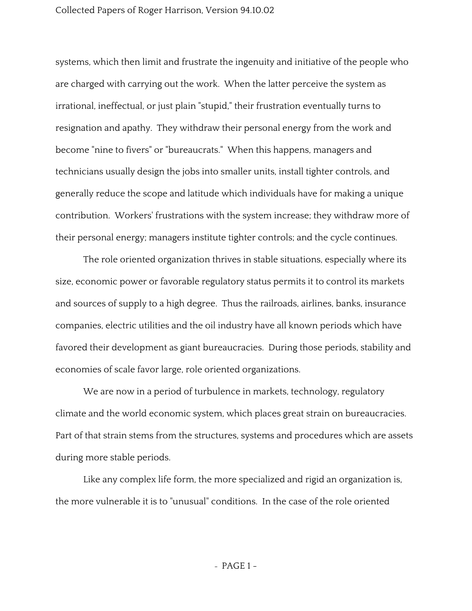#### Collected Papers of Roger Harrison, Version 94.10.02

systems, which then limit and frustrate the ingenuity and initiative of the people who are charged with carrying out the work. When the latter perceive the system as irrational, ineffectual, or just plain "stupid," their frustration eventually turns to resignation and apathy. They withdraw their personal energy from the work and become "nine to fivers" or "bureaucrats." When this happens, managers and technicians usually design the jobs into smaller units, install tighter controls, and generally reduce the scope and latitude which individuals have for making a unique contribution. Workers' frustrations with the system increase; they withdraw more of their personal energy; managers institute tighter controls; and the cycle continues.

The role oriented organization thrives in stable situations, especially where its size, economic power or favorable regulatory status permits it to control its markets and sources of supply to a high degree. Thus the railroads, airlines, banks, insurance companies, electric utilities and the oil industry have all known periods which have favored their development as giant bureaucracies. During those periods, stability and economies of scale favor large, role oriented organizations.

We are now in a period of turbulence in markets, technology, regulatory climate and the world economic system, which places great strain on bureaucracies. Part of that strain stems from the structures, systems and procedures which are assets during more stable periods.

Like any complex life form, the more specialized and rigid an organization is, the more vulnerable it is to "unusual" conditions. In the case of the role oriented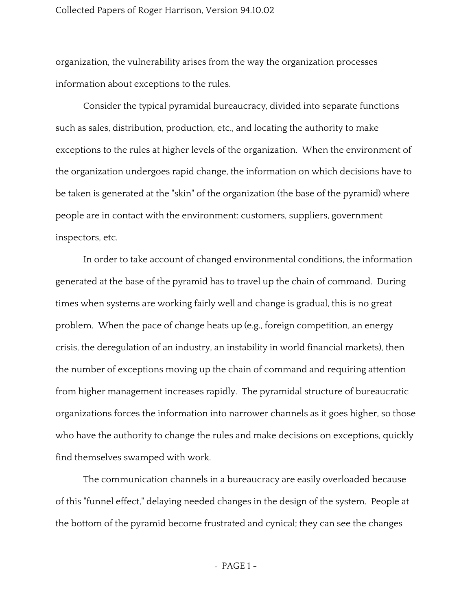#### Collected Papers of Roger Harrison, Version 94.10.02

organization, the vulnerability arises from the way the organization processes information about exceptions to the rules.

Consider the typical pyramidal bureaucracy, divided into separate functions such as sales, distribution, production, etc., and locating the authority to make exceptions to the rules at higher levels of the organization. When the environment of the organization undergoes rapid change, the information on which decisions have to be taken is generated at the "skin" of the organization (the base of the pyramid) where people are in contact with the environment: customers, suppliers, government inspectors, etc.

In order to take account of changed environmental conditions, the information generated at the base of the pyramid has to travel up the chain of command. During times when systems are working fairly well and change is gradual, this is no great problem. When the pace of change heats up (e.g., foreign competition, an energy crisis, the deregulation of an industry, an instability in world financial markets), then the number of exceptions moving up the chain of command and requiring attention from higher management increases rapidly. The pyramidal structure of bureaucratic organizations forces the information into narrower channels as it goes higher, so those who have the authority to change the rules and make decisions on exceptions, quickly find themselves swamped with work.

The communication channels in a bureaucracy are easily overloaded because of this "funnel effect," delaying needed changes in the design of the system. People at the bottom of the pyramid become frustrated and cynical; they can see the changes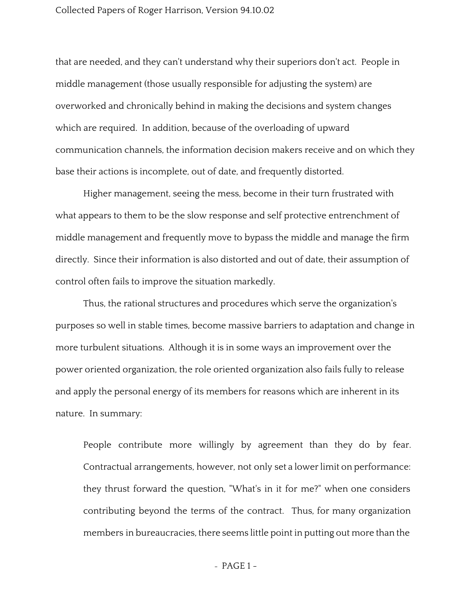that are needed, and they can't understand why their superiors don't act. People in middle management (those usually responsible for adjusting the system) are overworked and chronically behind in making the decisions and system changes which are required. In addition, because of the overloading of upward communication channels, the information decision makers receive and on which they base their actions is incomplete, out of date, and frequently distorted.

Higher management, seeing the mess, become in their turn frustrated with what appears to them to be the slow response and self protective entrenchment of middle management and frequently move to bypass the middle and manage the firm directly. Since their information is also distorted and out of date, their assumption of control often fails to improve the situation markedly.

Thus, the rational structures and procedures which serve the organization's purposes so well in stable times, become massive barriers to adaptation and change in more turbulent situations. Although it is in some ways an improvement over the power oriented organization, the role oriented organization also fails fully to release and apply the personal energy of its members for reasons which are inherent in its nature. In summary:

People contribute more willingly by agreement than they do by fear. Contractual arrangements, however, not only set a lower limit on performance: they thrust forward the question, "What's in it for me?" when one considers contributing beyond the terms of the contract. Thus, for many organization members in bureaucracies, there seems little point in putting out more than the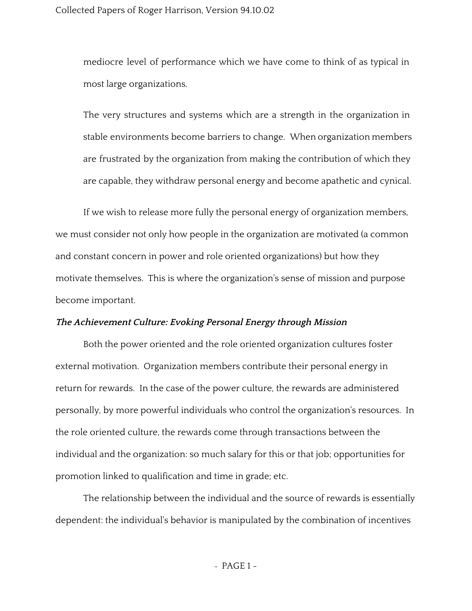mediocre level of performance which we have come to think of as typical in most large organizations.

The very structures and systems which are a strength in the organization in stable environments become barriers to change. When organization members are frustrated by the organization from making the contribution of which they are capable, they withdraw personal energy and become apathetic and cynical.

If we wish to release more fully the personal energy of organization members, we must consider not only how people in the organization are motivated (a common and constant concern in power and role oriented organizations) but how they motivate themselves. This is where the organization's sense of mission and purpose become important.

#### **The Achievement Culture: Evoking Personal Energy through Mission**

Both the power oriented and the role oriented organization cultures foster external motivation. Organization members contribute their personal energy in return for rewards. In the case of the power culture, the rewards are administered personally, by more powerful individuals who control the organization's resources. In the role oriented culture, the rewards come through transactions between the individual and the organization: so much salary for this or that job; opportunities for promotion linked to qualification and time in grade; etc.

The relationship between the individual and the source of rewards is essentially dependent: the individual's behavior is manipulated by the combination of incentives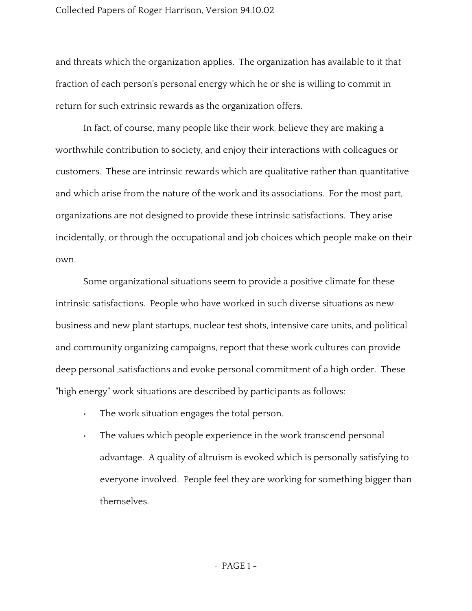and threats which the organization applies. The organization has available to it that fraction of each person's personal energy which he or she is willing to commit in return for such extrinsic rewards as the organization offers.

In fact, of course, many people like their work, believe they are making a worthwhile contribution to society, and enjoy their interactions with colleagues or customers. These are intrinsic rewards which are qualitative rather than quantitative and which arise from the nature of the work and its associations. For the most part, organizations are not designed to provide these intrinsic satisfactions. They arise incidentally, or through the occupational and job choices which people make on their own.

Some organizational situations seem to provide a positive climate for these intrinsic satisfactions. People who have worked in such diverse situations as new business and new plant startups, nuclear test shots, intensive care units, and political and community organizing campaigns, report that these work cultures can provide deep personal ,satisfactions and evoke personal commitment of a high order. These "high energy" work situations are described by participants as follows:

- The work situation engages the total person.
- The values which people experience in the work transcend personal advantage. A quality of altruism is evoked which is personally satisfying to everyone involved. People feel they are working for something bigger than themselves.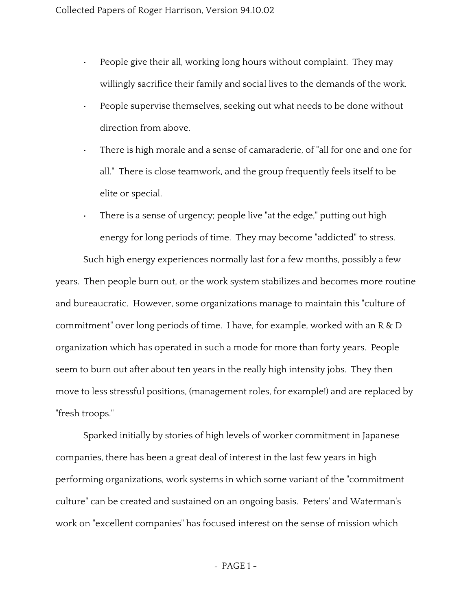- People give their all, working long hours without complaint. They may willingly sacrifice their family and social lives to the demands of the work.
- People supervise themselves, seeking out what needs to be done without direction from above.
- There is high morale and a sense of camaraderie, of "all for one and one for all." There is close teamwork, and the group frequently feels itself to be elite or special.
- There is a sense of urgency; people live "at the edge," putting out high energy for long periods of time. They may become "addicted" to stress.

Such high energy experiences normally last for a few months, possibly a few years. Then people burn out, or the work system stabilizes and becomes more routine and bureaucratic. However, some organizations manage to maintain this "culture of commitment" over long periods of time. I have, for example, worked with an R & D organization which has operated in such a mode for more than forty years. People seem to burn out after about ten years in the really high intensity jobs. They then move to less stressful positions, (management roles, for example!) and are replaced by "fresh troops."

Sparked initially by stories of high levels of worker commitment in Japanese companies, there has been a great deal of interest in the last few years in high performing organizations, work systems in which some variant of the "commitment culture" can be created and sustained on an ongoing basis. Peters' and Waterman's work on "excellent companies" has focused interest on the sense of mission which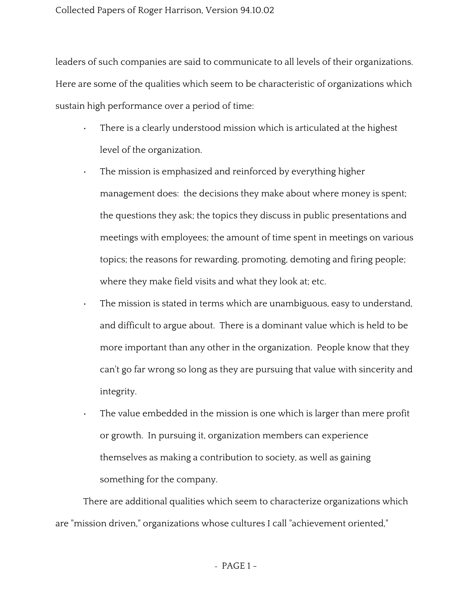leaders of such companies are said to communicate to all levels of their organizations. Here are some of the qualities which seem to be characteristic of organizations which sustain high performance over a period of time:

- There is a clearly understood mission which is articulated at the highest level of the organization.
- The mission is emphasized and reinforced by everything higher management does: the decisions they make about where money is spent; the questions they ask; the topics they discuss in public presentations and meetings with employees; the amount of time spent in meetings on various topics; the reasons for rewarding, promoting, demoting and firing people; where they make field visits and what they look at; etc.
- The mission is stated in terms which are unambiguous, easy to understand, and difficult to argue about. There is a dominant value which is held to be more important than any other in the organization. People know that they can't go far wrong so long as they are pursuing that value with sincerity and integrity.
- The value embedded in the mission is one which is larger than mere profit or growth. In pursuing it, organization members can experience themselves as making a contribution to society, as well as gaining something for the company.

There are additional qualities which seem to characterize organizations which are "mission driven," organizations whose cultures I call "achievement oriented,"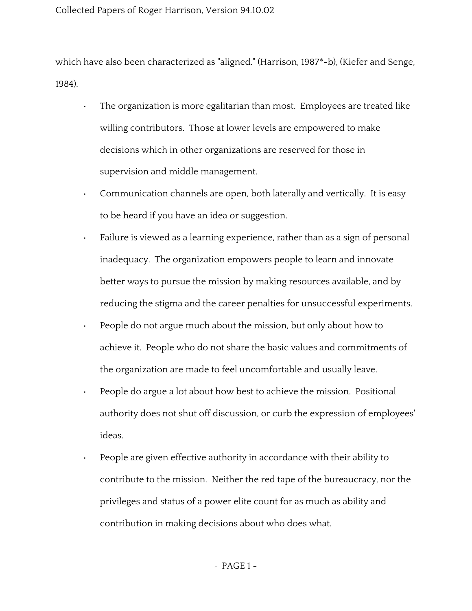which have also been characterized as "aligned." (Harrison, 1987\*-b), (Kiefer and Senge, 1984).

- The organization is more egalitarian than most. Employees are treated like willing contributors. Those at lower levels are empowered to make decisions which in other organizations are reserved for those in supervision and middle management.
- Communication channels are open, both laterally and vertically. It is easy to be heard if you have an idea or suggestion.
- Failure is viewed as a learning experience, rather than as a sign of personal inadequacy. The organization empowers people to learn and innovate better ways to pursue the mission by making resources available, and by reducing the stigma and the career penalties for unsuccessful experiments.
- People do not argue much about the mission, but only about how to achieve it. People who do not share the basic values and commitments of the organization are made to feel uncomfortable and usually leave.
- People do argue a lot about how best to achieve the mission. Positional authority does not shut off discussion, or curb the expression of employees' ideas.
- People are given effective authority in accordance with their ability to contribute to the mission. Neither the red tape of the bureaucracy, nor the privileges and status of a power elite count for as much as ability and contribution in making decisions about who does what.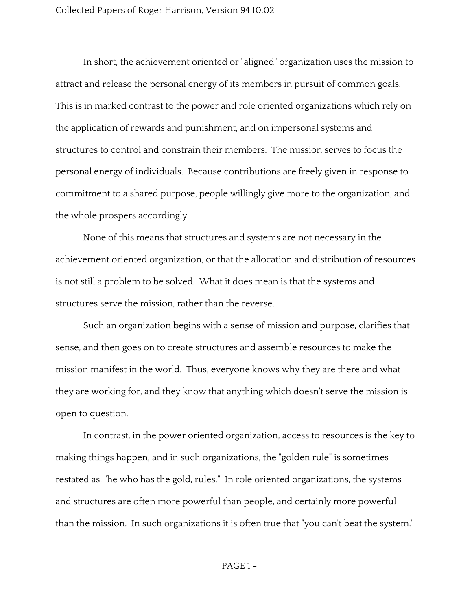In short, the achievement oriented or "aligned" organization uses the mission to attract and release the personal energy of its members in pursuit of common goals. This is in marked contrast to the power and role oriented organizations which rely on the application of rewards and punishment, and on impersonal systems and structures to control and constrain their members. The mission serves to focus the personal energy of individuals. Because contributions are freely given in response to commitment to a shared purpose, people willingly give more to the organization, and the whole prospers accordingly.

None of this means that structures and systems are not necessary in the achievement oriented organization, or that the allocation and distribution of resources is not still a problem to be solved. What it does mean is that the systems and structures serve the mission, rather than the reverse.

Such an organization begins with a sense of mission and purpose, clarifies that sense, and then goes on to create structures and assemble resources to make the mission manifest in the world. Thus, everyone knows why they are there and what they are working for, and they know that anything which doesn't serve the mission is open to question.

In contrast, in the power oriented organization, access to resources is the key to making things happen, and in such organizations, the "golden rule" is sometimes restated as, "he who has the gold, rules." In role oriented organizations, the systems and structures are often more powerful than people, and certainly more powerful than the mission. In such organizations it is often true that "you can't beat the system."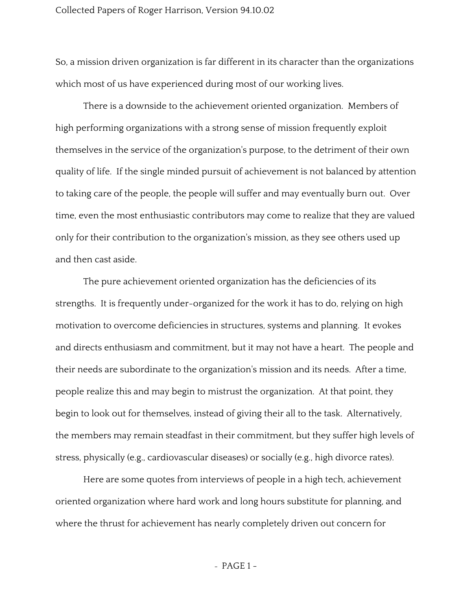So, a mission driven organization is far different in its character than the organizations which most of us have experienced during most of our working lives.

There is a downside to the achievement oriented organization. Members of high performing organizations with a strong sense of mission frequently exploit themselves in the service of the organization's purpose, to the detriment of their own quality of life. If the single minded pursuit of achievement is not balanced by attention to taking care of the people, the people will suffer and may eventually burn out. Over time, even the most enthusiastic contributors may come to realize that they are valued only for their contribution to the organization's mission, as they see others used up and then cast aside.

The pure achievement oriented organization has the deficiencies of its strengths. It is frequently under-organized for the work it has to do, relying on high motivation to overcome deficiencies in structures, systems and planning. It evokes and directs enthusiasm and commitment, but it may not have a heart. The people and their needs are subordinate to the organization's mission and its needs. After a time, people realize this and may begin to mistrust the organization. At that point, they begin to look out for themselves, instead of giving their all to the task. Alternatively, the members may remain steadfast in their commitment, but they suffer high levels of stress, physically (e.g., cardiovascular diseases) or socially (e.g., high divorce rates).

Here are some quotes from interviews of people in a high tech, achievement oriented organization where hard work and long hours substitute for planning, and where the thrust for achievement has nearly completely driven out concern for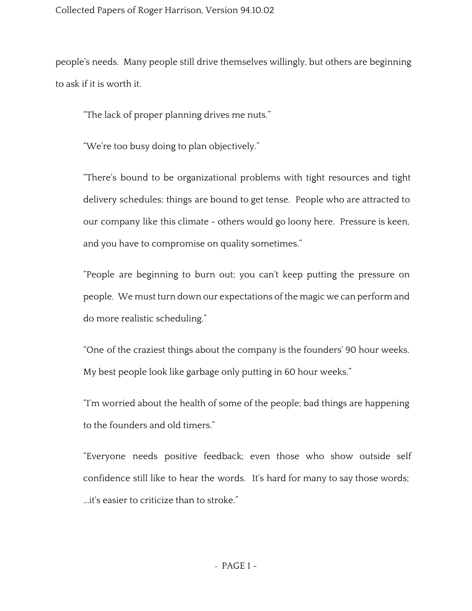people's needs. Many people still drive themselves willingly, but others are beginning to ask if it is worth it.

"The lack of proper planning drives me nuts."

"We're too busy doing to plan objectively."

"There's bound to be organizational problems with tight resources and tight delivery schedules; things are bound to get tense. People who are attracted to our company like this climate - others would go loony here. Pressure is keen, and you have to compromise on quality sometimes."

"People are beginning to burn out; you can't keep putting the pressure on people. We must turn down our expectations of the magic we can perform and do more realistic scheduling."

"One of the craziest things about the company is the founders' 90 hour weeks. My best people look like garbage only putting in 60 hour weeks."

"I'm worried about the health of some of the people; bad things are happening to the founders and old timers."

"Everyone needs positive feedback; even those who show outside self confidence still like to hear the words. It's hard for many to say those words; ...it's easier to criticize than to stroke."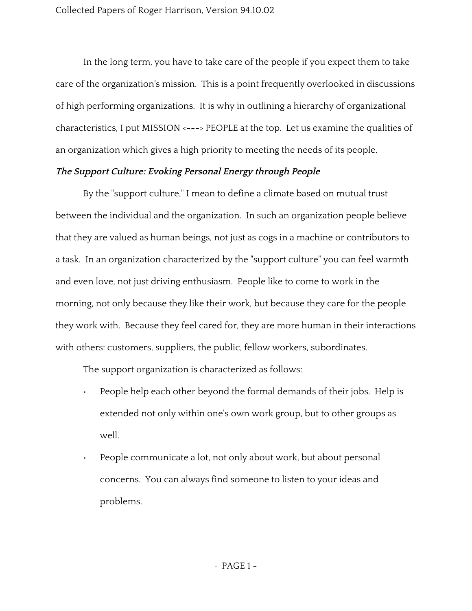In the long term, you have to take care of the people if you expect them to take care of the organization's mission. This is a point frequently overlooked in discussions of high performing organizations. It is why in outlining a hierarchy of organizational characteristics, I put MISSION <---> PEOPLE at the top. Let us examine the qualities of an organization which gives a high priority to meeting the needs of its people.

## **The Support Culture: Evoking Personal Energy through People**

By the "support culture," I mean to define a climate based on mutual trust between the individual and the organization. In such an organization people believe that they are valued as human beings, not just as cogs in a machine or contributors to a task. In an organization characterized by the "support culture" you can feel warmth and even love, not just driving enthusiasm. People like to come to work in the morning, not only because they like their work, but because they care for the people they work with. Because they feel cared for, they are more human in their interactions with others: customers, suppliers, the public, fellow workers, subordinates.

The support organization is characterized as follows:

- People help each other beyond the formal demands of their jobs. Help is extended not only within one's own work group, but to other groups as well.
- People communicate a lot, not only about work, but about personal concerns. You can always find someone to listen to your ideas and problems.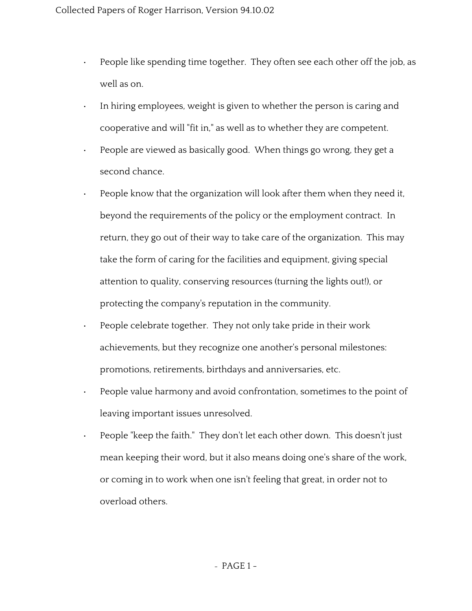- People like spending time together. They often see each other off the job, as well as on.
- In hiring employees, weight is given to whether the person is caring and cooperative and will "fit in," as well as to whether they are competent.
- People are viewed as basically good. When things go wrong, they get a second chance.
- People know that the organization will look after them when they need it, beyond the requirements of the policy or the employment contract. In return, they go out of their way to take care of the organization. This may take the form of caring for the facilities and equipment, giving special attention to quality, conserving resources (turning the lights out!), or protecting the company's reputation in the community.
- People celebrate together. They not only take pride in their work achievements, but they recognize one another's personal milestones: promotions, retirements, birthdays and anniversaries, etc.
- People value harmony and avoid confrontation, sometimes to the point of leaving important issues unresolved.
- People "keep the faith." They don't let each other down. This doesn't just mean keeping their word, but it also means doing one's share of the work, or coming in to work when one isn't feeling that great, in order not to overload others.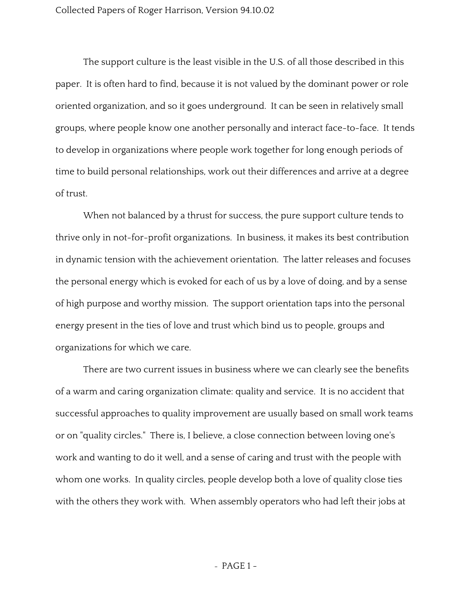The support culture is the least visible in the U.S. of all those described in this paper. It is often hard to find, because it is not valued by the dominant power or role oriented organization, and so it goes underground. It can be seen in relatively small groups, where people know one another personally and interact face-to-face. It tends to develop in organizations where people work together for long enough periods of time to build personal relationships, work out their differences and arrive at a degree of trust.

When not balanced by a thrust for success, the pure support culture tends to thrive only in not-for-profit organizations. In business, it makes its best contribution in dynamic tension with the achievement orientation. The latter releases and focuses the personal energy which is evoked for each of us by a love of doing, and by a sense of high purpose and worthy mission. The support orientation taps into the personal energy present in the ties of love and trust which bind us to people, groups and organizations for which we care.

There are two current issues in business where we can clearly see the benefits of a warm and caring organization climate: quality and service. It is no accident that successful approaches to quality improvement are usually based on small work teams or on "quality circles." There is, I believe, a close connection between loving one's work and wanting to do it well, and a sense of caring and trust with the people with whom one works. In quality circles, people develop both a love of quality close ties with the others they work with. When assembly operators who had left their jobs at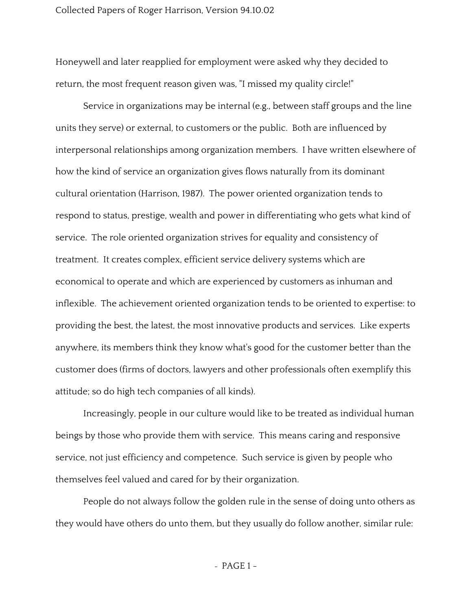Honeywell and later reapplied for employment were asked why they decided to return, the most frequent reason given was, "I missed my quality circle!"

Service in organizations may be internal (e.g., between staff groups and the line units they serve) or external, to customers or the public. Both are influenced by interpersonal relationships among organization members. I have written elsewhere of how the kind of service an organization gives flows naturally from its dominant cultural orientation (Harrison, 1987). The power oriented organization tends to respond to status, prestige, wealth and power in differentiating who gets what kind of service. The role oriented organization strives for equality and consistency of treatment. It creates complex, efficient service delivery systems which are economical to operate and which are experienced by customers as inhuman and inflexible. The achievement oriented organization tends to be oriented to expertise: to providing the best, the latest, the most innovative products and services. Like experts anywhere, its members think they know what's good for the customer better than the customer does (firms of doctors, lawyers and other professionals often exemplify this attitude; so do high tech companies of all kinds).

Increasingly, people in our culture would like to be treated as individual human beings by those who provide them with service. This means caring and responsive service, not just efficiency and competence. Such service is given by people who themselves feel valued and cared for by their organization.

People do not always follow the golden rule in the sense of doing unto others as they would have others do unto them, but they usually do follow another, similar rule: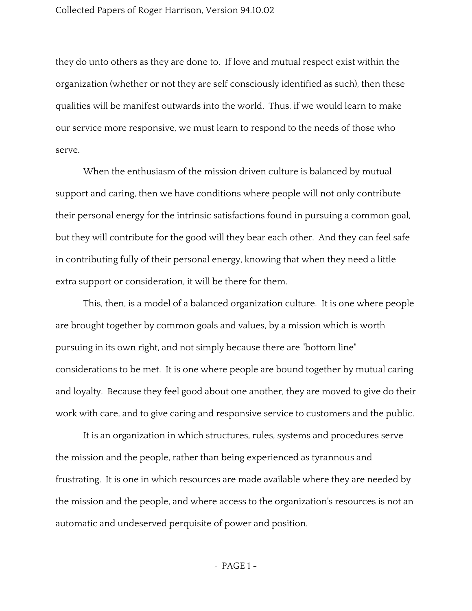they do unto others as they are done to. If love and mutual respect exist within the organization (whether or not they are self consciously identified as such), then these qualities will be manifest outwards into the world. Thus, if we would learn to make our service more responsive, we must learn to respond to the needs of those who serve.

When the enthusiasm of the mission driven culture is balanced by mutual support and caring, then we have conditions where people will not only contribute their personal energy for the intrinsic satisfactions found in pursuing a common goal, but they will contribute for the good will they bear each other. And they can feel safe in contributing fully of their personal energy, knowing that when they need a little extra support or consideration, it will be there for them.

This, then, is a model of a balanced organization culture. It is one where people are brought together by common goals and values, by a mission which is worth pursuing in its own right, and not simply because there are "bottom line" considerations to be met. It is one where people are bound together by mutual caring and loyalty. Because they feel good about one another, they are moved to give do their work with care, and to give caring and responsive service to customers and the public.

It is an organization in which structures, rules, systems and procedures serve the mission and the people, rather than being experienced as tyrannous and frustrating. It is one in which resources are made available where they are needed by the mission and the people, and where access to the organization's resources is not an automatic and undeserved perquisite of power and position.

- PAGE 1 -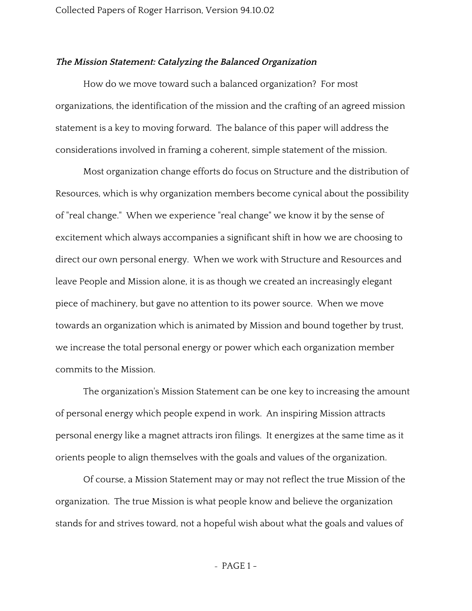#### **The Mission Statement: Catalyzing the Balanced Organization**

How do we move toward such a balanced organization? For most organizations, the identification of the mission and the crafting of an agreed mission statement is a key to moving forward. The balance of this paper will address the considerations involved in framing a coherent, simple statement of the mission.

Most organization change efforts do focus on Structure and the distribution of Resources, which is why organization members become cynical about the possibility of "real change." When we experience "real change" we know it by the sense of excitement which always accompanies a significant shift in how we are choosing to direct our own personal energy. When we work with Structure and Resources and leave People and Mission alone, it is as though we created an increasingly elegant piece of machinery, but gave no attention to its power source. When we move towards an organization which is animated by Mission and bound together by trust, we increase the total personal energy or power which each organization member commits to the Mission.

The organization's Mission Statement can be one key to increasing the amount of personal energy which people expend in work. An inspiring Mission attracts personal energy like a magnet attracts iron filings. It energizes at the same time as it orients people to align themselves with the goals and values of the organization.

Of course, a Mission Statement may or may not reflect the true Mission of the organization. The true Mission is what people know and believe the organization stands for and strives toward, not a hopeful wish about what the goals and values of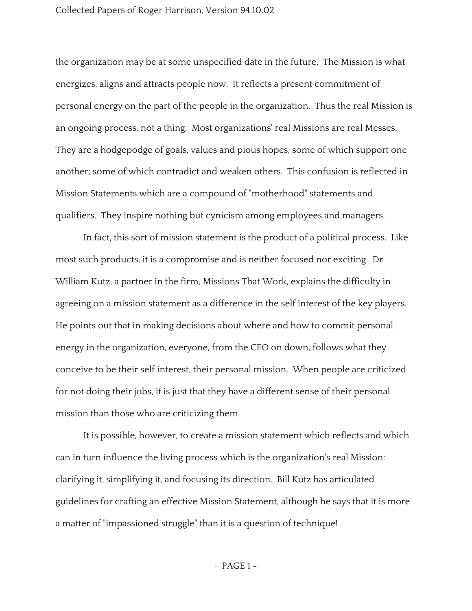the organization may be at some unspecified date in the future. The Mission is what energizes, aligns and attracts people now. It reflects a present commitment of personal energy on the part of the people in the organization. Thus the real Mission is an ongoing process, not a thing. Most organizations' real Missions are real Messes. They are a hodgepodge of goals, values and pious hopes, some of which support one another; some of which contradict and weaken others. This confusion is reflected in Mission Statements which are a compound of "motherhood" statements and qualifiers. They inspire nothing but cynicism among employees and managers.

In fact, this sort of mission statement is the product of a political process. Like most such products, it is a compromise and is neither focused nor exciting. Dr William Kutz, a partner in the firm, Missions That Work, explains the difficulty in agreeing on a mission statement as a difference in the self interest of the key players. He points out that in making decisions about where and how to commit personal energy in the organization, everyone, from the CEO on down, follows what they conceive to be their self interest, their personal mission. When people are criticized for not doing their jobs, it is just that they have a different sense of their personal mission than those who are criticizing them.

It is possible, however, to create a mission statement which reflects and which can in turn influence the living process which is the organization's real Mission: clarifying it, simplifying it, and focusing its direction. Bill Kutz has articulated guidelines for crafting an effective Mission Statement, although he says that it is more a matter of "impassioned struggle" than it is a question of technique!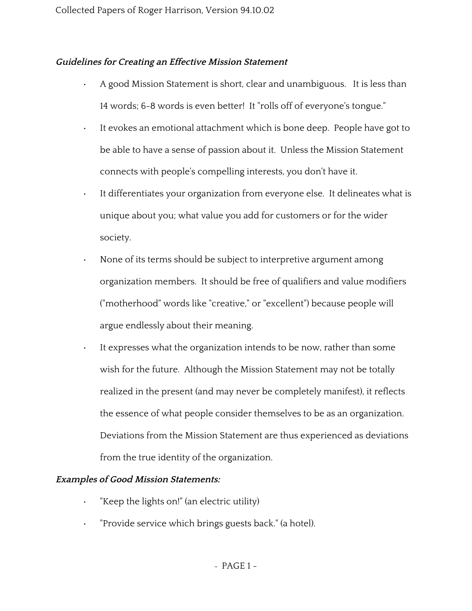## **Guidelines for Creating an Effective Mission Statement**

- A good Mission Statement is short, clear and unambiguous. It is less than 14 words; 6-8 words is even better! It "rolls off of everyone's tongue."
- It evokes an emotional attachment which is bone deep. People have got to be able to have a sense of passion about it. Unless the Mission Statement connects with people's compelling interests, you don't have it.
- It differentiates your organization from everyone else. It delineates what is unique about you; what value you add for customers or for the wider society.
- None of its terms should be subject to interpretive argument among organization members. It should be free of qualifiers and value modifiers ("motherhood" words like "creative," or "excellent") because people will argue endlessly about their meaning.
- It expresses what the organization intends to be now, rather than some wish for the future. Although the Mission Statement may not be totally realized in the present (and may never be completely manifest), it reflects the essence of what people consider themselves to be as an organization. Deviations from the Mission Statement are thus experienced as deviations from the true identity of the organization.

## **Examples of Good Mission Statements:**

- "Keep the lights on!" (an electric utility)
- "Provide service which brings guests back." (a hotel).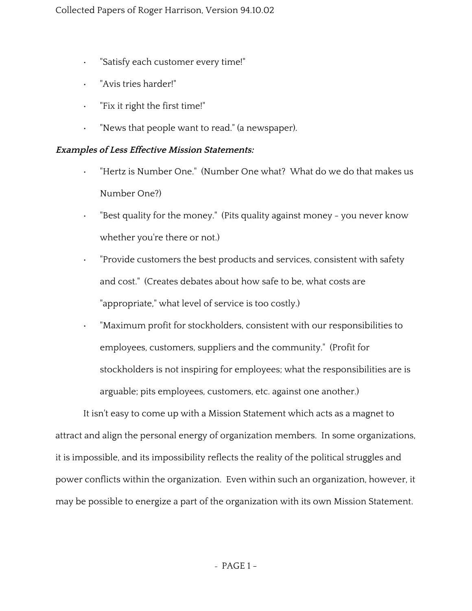- "Satisfy each customer every time!"
- "Avis tries harder!"
- "Fix it right the first time!"
- "News that people want to read." (a newspaper).

## **Examples of Less Effective Mission Statements:**

- "Hertz is Number One." (Number One what? What do we do that makes us Number One?)
- "Best quality for the money." (Pits quality against money you never know whether you're there or not.)
- "Provide customers the best products and services, consistent with safety and cost." (Creates debates about how safe to be, what costs are "appropriate," what level of service is too costly.)
- "Maximum profit for stockholders, consistent with our responsibilities to employees, customers, suppliers and the community." (Profit for stockholders is not inspiring for employees; what the responsibilities are is arguable; pits employees, customers, etc. against one another.)

It isn't easy to come up with a Mission Statement which acts as a magnet to attract and align the personal energy of organization members. In some organizations, it is impossible, and its impossibility reflects the reality of the political struggles and power conflicts within the organization. Even within such an organization, however, it may be possible to energize a part of the organization with its own Mission Statement.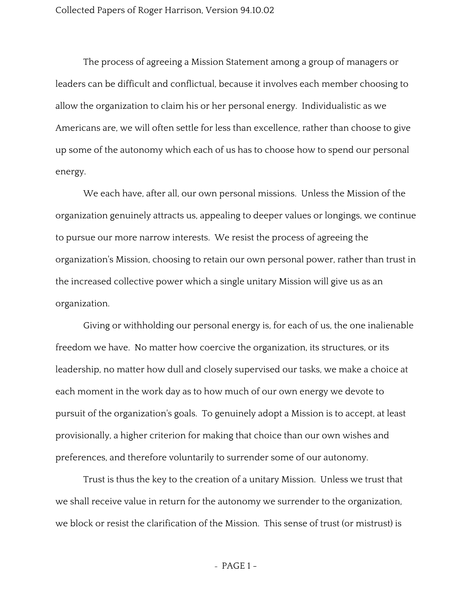The process of agreeing a Mission Statement among a group of managers or leaders can be difficult and conflictual, because it involves each member choosing to allow the organization to claim his or her personal energy. Individualistic as we Americans are, we will often settle for less than excellence, rather than choose to give up some of the autonomy which each of us has to choose how to spend our personal energy.

We each have, after all, our own personal missions. Unless the Mission of the organization genuinely attracts us, appealing to deeper values or longings, we continue to pursue our more narrow interests. We resist the process of agreeing the organization's Mission, choosing to retain our own personal power, rather than trust in the increased collective power which a single unitary Mission will give us as an organization.

Giving or withholding our personal energy is, for each of us, the one inalienable freedom we have. No matter how coercive the organization, its structures, or its leadership, no matter how dull and closely supervised our tasks, we make a choice at each moment in the work day as to how much of our own energy we devote to pursuit of the organization's goals. To genuinely adopt a Mission is to accept, at least provisionally, a higher criterion for making that choice than our own wishes and preferences, and therefore voluntarily to surrender some of our autonomy.

Trust is thus the key to the creation of a unitary Mission. Unless we trust that we shall receive value in return for the autonomy we surrender to the organization, we block or resist the clarification of the Mission. This sense of trust (or mistrust) is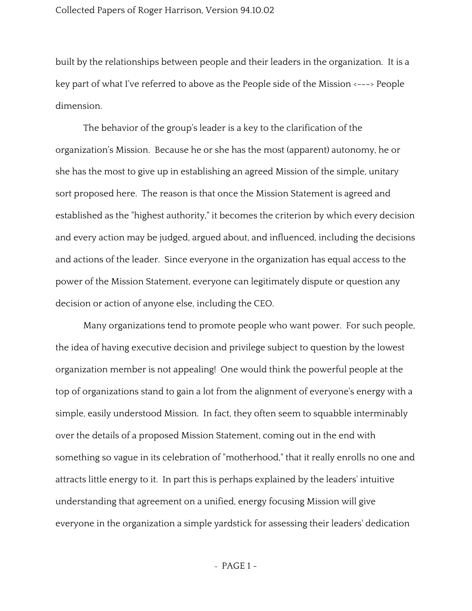built by the relationships between people and their leaders in the organization. It is a key part of what I've referred to above as the People side of the Mission <---> People dimension.

The behavior of the group's leader is a key to the clarification of the organization's Mission. Because he or she has the most (apparent) autonomy, he or she has the most to give up in establishing an agreed Mission of the simple, unitary sort proposed here. The reason is that once the Mission Statement is agreed and established as the "highest authority," it becomes the criterion by which every decision and every action may be judged, argued about, and influenced, including the decisions and actions of the leader. Since everyone in the organization has equal access to the power of the Mission Statement, everyone can legitimately dispute or question any decision or action of anyone else, including the CEO.

Many organizations tend to promote people who want power. For such people, the idea of having executive decision and privilege subject to question by the lowest organization member is not appealing! One would think the powerful people at the top of organizations stand to gain a lot from the alignment of everyone's energy with a simple, easily understood Mission. In fact, they often seem to squabble interminably over the details of a proposed Mission Statement, coming out in the end with something so vague in its celebration of "motherhood," that it really enrolls no one and attracts little energy to it. In part this is perhaps explained by the leaders' intuitive understanding that agreement on a unified, energy focusing Mission will give everyone in the organization a simple yardstick for assessing their leaders' dedication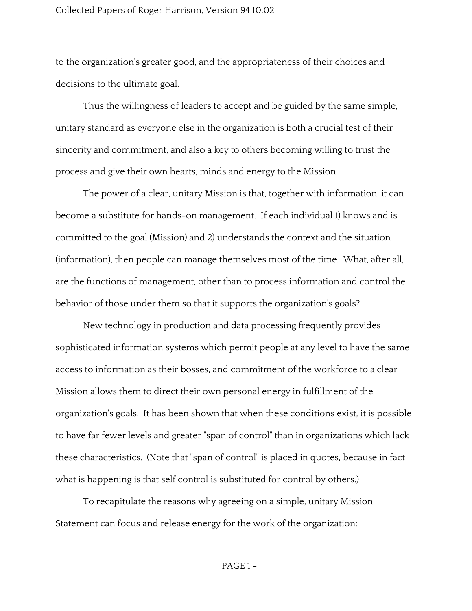#### Collected Papers of Roger Harrison, Version 94.10.02

to the organization's greater good, and the appropriateness of their choices and decisions to the ultimate goal.

Thus the willingness of leaders to accept and be guided by the same simple, unitary standard as everyone else in the organization is both a crucial test of their sincerity and commitment, and also a key to others becoming willing to trust the process and give their own hearts, minds and energy to the Mission.

The power of a clear, unitary Mission is that, together with information, it can become a substitute for hands-on management. If each individual 1) knows and is committed to the goal (Mission) and 2) understands the context and the situation (information), then people can manage themselves most of the time. What, after all, are the functions of management, other than to process information and control the behavior of those under them so that it supports the organization's goals?

New technology in production and data processing frequently provides sophisticated information systems which permit people at any level to have the same access to information as their bosses, and commitment of the workforce to a clear Mission allows them to direct their own personal energy in fulfillment of the organization's goals. It has been shown that when these conditions exist, it is possible to have far fewer levels and greater "span of control" than in organizations which lack these characteristics. (Note that "span of control" is placed in quotes, because in fact what is happening is that self control is substituted for control by others.)

To recapitulate the reasons why agreeing on a simple, unitary Mission Statement can focus and release energy for the work of the organization: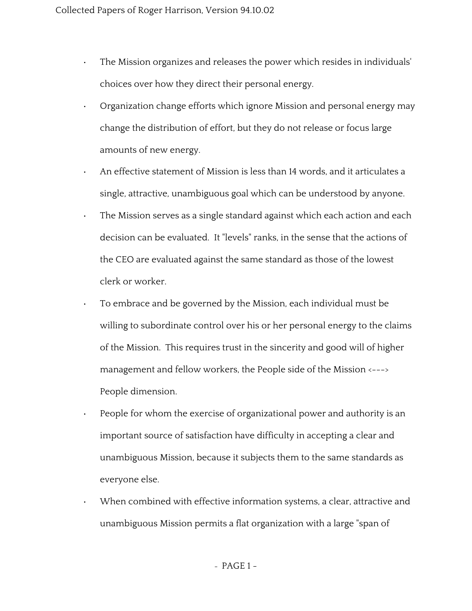- The Mission organizes and releases the power which resides in individuals' choices over how they direct their personal energy.
- Organization change efforts which ignore Mission and personal energy may change the distribution of effort, but they do not release or focus large amounts of new energy.
- An effective statement of Mission is less than 14 words, and it articulates a single, attractive, unambiguous goal which can be understood by anyone.
- The Mission serves as a single standard against which each action and each decision can be evaluated. It "levels" ranks, in the sense that the actions of the CEO are evaluated against the same standard as those of the lowest clerk or worker.
- To embrace and be governed by the Mission, each individual must be willing to subordinate control over his or her personal energy to the claims of the Mission. This requires trust in the sincerity and good will of higher management and fellow workers, the People side of the Mission <---> People dimension.
	- People for whom the exercise of organizational power and authority is an important source of satisfaction have difficulty in accepting a clear and unambiguous Mission, because it subjects them to the same standards as everyone else.
- When combined with effective information systems, a clear, attractive and unambiguous Mission permits a flat organization with a large "span of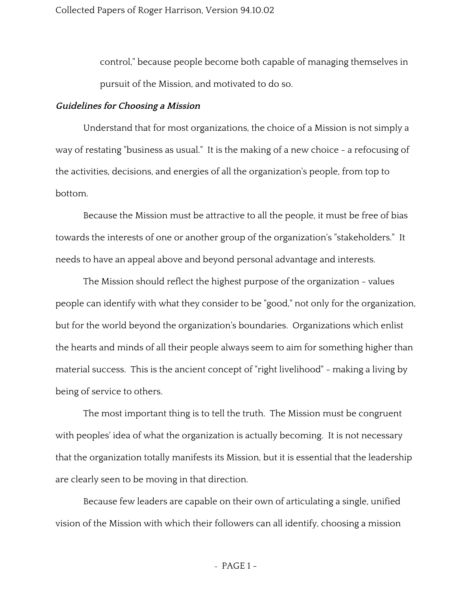control," because people become both capable of managing themselves in pursuit of the Mission, and motivated to do so.

#### **Guidelines for Choosing <sup>a</sup> Mission**

Understand that for most organizations, the choice of a Mission is not simply a way of restating "business as usual." It is the making of a new choice - a refocusing of the activities, decisions, and energies of all the organization's people, from top to bottom.

Because the Mission must be attractive to all the people, it must be free of bias towards the interests of one or another group of the organization's "stakeholders." It needs to have an appeal above and beyond personal advantage and interests.

The Mission should reflect the highest purpose of the organization - values people can identify with what they consider to be "good," not only for the organization, but for the world beyond the organization's boundaries. Organizations which enlist the hearts and minds of all their people always seem to aim for something higher than material success. This is the ancient concept of "right livelihood" - making a living by being of service to others.

The most important thing is to tell the truth. The Mission must be congruent with peoples' idea of what the organization is actually becoming. It is not necessary that the organization totally manifests its Mission, but it is essential that the leadership are clearly seen to be moving in that direction.

Because few leaders are capable on their own of articulating a single, unified vision of the Mission with which their followers can all identify, choosing a mission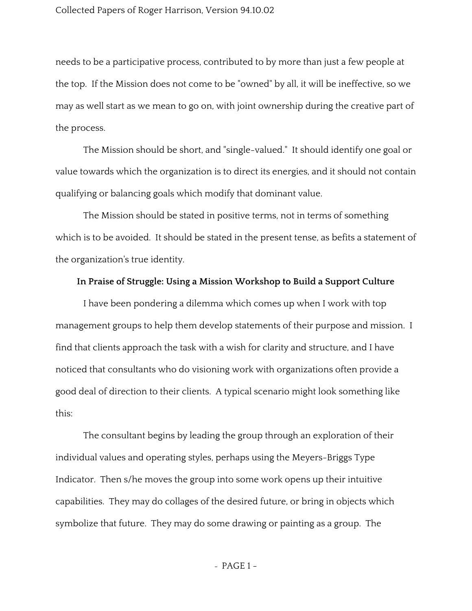needs to be a participative process, contributed to by more than just a few people at the top. If the Mission does not come to be "owned" by all, it will be ineffective, so we may as well start as we mean to go on, with joint ownership during the creative part of the process.

The Mission should be short, and "single-valued." It should identify one goal or value towards which the organization is to direct its energies, and it should not contain qualifying or balancing goals which modify that dominant value.

The Mission should be stated in positive terms, not in terms of something which is to be avoided. It should be stated in the present tense, as befits a statement of the organization's true identity.

#### **In Praise of Struggle: Using a Mission Workshop to Build a Support Culture**

I have been pondering a dilemma which comes up when I work with top management groups to help them develop statements of their purpose and mission. I find that clients approach the task with a wish for clarity and structure, and I have noticed that consultants who do visioning work with organizations often provide a good deal of direction to their clients. A typical scenario might look something like this:

The consultant begins by leading the group through an exploration of their individual values and operating styles, perhaps using the Meyers-Briggs Type Indicator. Then s/he moves the group into some work opens up their intuitive capabilities. They may do collages of the desired future, or bring in objects which symbolize that future. They may do some drawing or painting as a group. The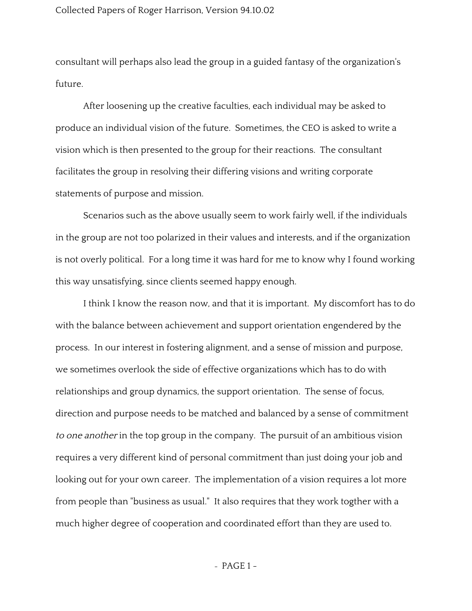#### Collected Papers of Roger Harrison, Version 94.10.02

consultant will perhaps also lead the group in a guided fantasy of the organization's future.

After loosening up the creative faculties, each individual may be asked to produce an individual vision of the future. Sometimes, the CEO is asked to write a vision which is then presented to the group for their reactions. The consultant facilitates the group in resolving their differing visions and writing corporate statements of purpose and mission.

Scenarios such as the above usually seem to work fairly well, if the individuals in the group are not too polarized in their values and interests, and if the organization is not overly political. For a long time it was hard for me to know why I found working this way unsatisfying, since clients seemed happy enough.

I think I know the reason now, and that it is important. My discomfort has to do with the balance between achievement and support orientation engendered by the process. In our interest in fostering alignment, and a sense of mission and purpose, we sometimes overlook the side of effective organizations which has to do with relationships and group dynamics, the support orientation. The sense of focus, direction and purpose needs to be matched and balanced by a sense of commitment to one another in the top group in the company. The pursuit of an ambitious vision requires a very different kind of personal commitment than just doing your job and looking out for your own career. The implementation of a vision requires a lot more from people than "business as usual." It also requires that they work togther with a much higher degree of cooperation and coordinated effort than they are used to.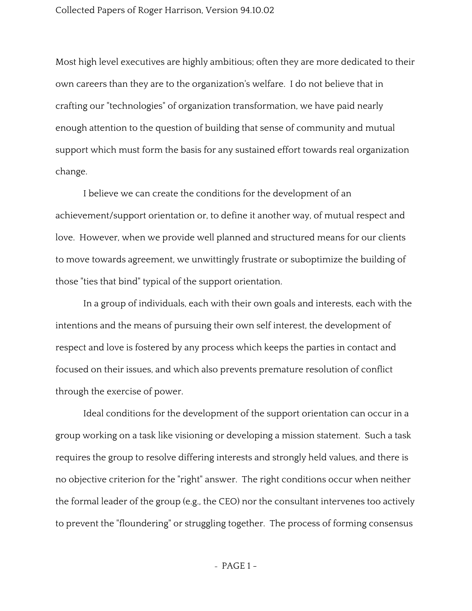Most high level executives are highly ambitious; often they are more dedicated to their own careers than they are to the organization's welfare. I do not believe that in crafting our "technologies" of organization transformation, we have paid nearly enough attention to the question of building that sense of community and mutual support which must form the basis for any sustained effort towards real organization change.

I believe we can create the conditions for the development of an achievement/support orientation or, to define it another way, of mutual respect and love. However, when we provide well planned and structured means for our clients to move towards agreement, we unwittingly frustrate or suboptimize the building of those "ties that bind" typical of the support orientation.

In a group of individuals, each with their own goals and interests, each with the intentions and the means of pursuing their own self interest, the development of respect and love is fostered by any process which keeps the parties in contact and focused on their issues, and which also prevents premature resolution of conflict through the exercise of power.

Ideal conditions for the development of the support orientation can occur in a group working on a task like visioning or developing a mission statement. Such a task requires the group to resolve differing interests and strongly held values, and there is no objective criterion for the "right" answer. The right conditions occur when neither the formal leader of the group (e.g., the CEO) nor the consultant intervenes too actively to prevent the "floundering" or struggling together. The process of forming consensus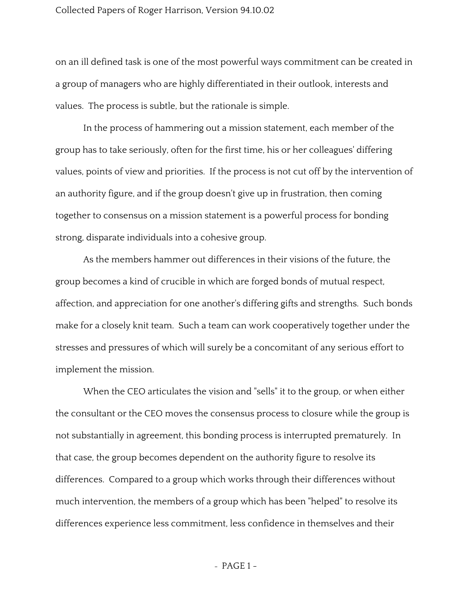on an ill defined task is one of the most powerful ways commitment can be created in a group of managers who are highly differentiated in their outlook, interests and values. The process is subtle, but the rationale is simple.

In the process of hammering out a mission statement, each member of the group has to take seriously, often for the first time, his or her colleagues' differing values, points of view and priorities. If the process is not cut off by the intervention of an authority figure, and if the group doesn't give up in frustration, then coming together to consensus on a mission statement is a powerful process for bonding strong, disparate individuals into a cohesive group.

As the members hammer out differences in their visions of the future, the group becomes a kind of crucible in which are forged bonds of mutual respect, affection, and appreciation for one another's differing gifts and strengths. Such bonds make for a closely knit team. Such a team can work cooperatively together under the stresses and pressures of which will surely be a concomitant of any serious effort to implement the mission.

When the CEO articulates the vision and "sells" it to the group, or when either the consultant or the CEO moves the consensus process to closure while the group is not substantially in agreement, this bonding process is interrupted prematurely. In that case, the group becomes dependent on the authority figure to resolve its differences. Compared to a group which works through their differences without much intervention, the members of a group which has been "helped" to resolve its differences experience less commitment, less confidence in themselves and their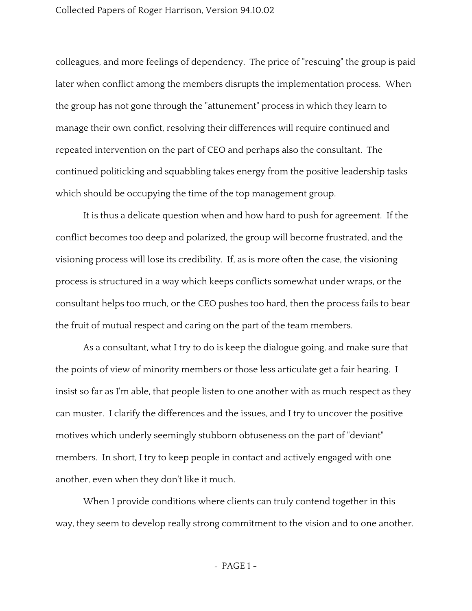#### Collected Papers of Roger Harrison, Version 94.10.02

colleagues, and more feelings of dependency. The price of "rescuing" the group is paid later when conflict among the members disrupts the implementation process. When the group has not gone through the "attunement" process in which they learn to manage their own confict, resolving their differences will require continued and repeated intervention on the part of CEO and perhaps also the consultant. The continued politicking and squabbling takes energy from the positive leadership tasks which should be occupying the time of the top management group.

It is thus a delicate question when and how hard to push for agreement. If the conflict becomes too deep and polarized, the group will become frustrated, and the visioning process will lose its credibility. If, as is more often the case, the visioning process is structured in a way which keeps conflicts somewhat under wraps, or the consultant helps too much, or the CEO pushes too hard, then the process fails to bear the fruit of mutual respect and caring on the part of the team members.

As a consultant, what I try to do is keep the dialogue going, and make sure that the points of view of minority members or those less articulate get a fair hearing. I insist so far as I'm able, that people listen to one another with as much respect as they can muster. I clarify the differences and the issues, and I try to uncover the positive motives which underly seemingly stubborn obtuseness on the part of "deviant" members. In short, I try to keep people in contact and actively engaged with one another, even when they don't like it much.

When I provide conditions where clients can truly contend together in this way, they seem to develop really strong commitment to the vision and to one another.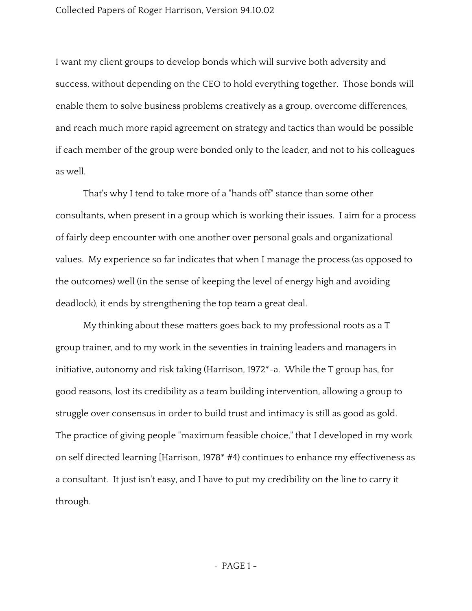I want my client groups to develop bonds which will survive both adversity and success, without depending on the CEO to hold everything together. Those bonds will enable them to solve business problems creatively as a group, overcome differences, and reach much more rapid agreement on strategy and tactics than would be possible if each member of the group were bonded only to the leader, and not to his colleagues as well.

That's why I tend to take more of a "hands off" stance than some other consultants, when present in a group which is working their issues. I aim for a process of fairly deep encounter with one another over personal goals and organizational values. My experience so far indicates that when I manage the process (as opposed to the outcomes) well (in the sense of keeping the level of energy high and avoiding deadlock), it ends by strengthening the top team a great deal.

My thinking about these matters goes back to my professional roots as a T group trainer, and to my work in the seventies in training leaders and managers in initiative, autonomy and risk taking (Harrison, 1972\*-a. While the T group has, for good reasons, lost its credibility as a team building intervention, allowing a group to struggle over consensus in order to build trust and intimacy is still as good as gold. The practice of giving people "maximum feasible choice," that I developed in my work on self directed learning [Harrison, 1978\* #4) continues to enhance my effectiveness as a consultant. It just isn't easy, and I have to put my credibility on the line to carry it through.